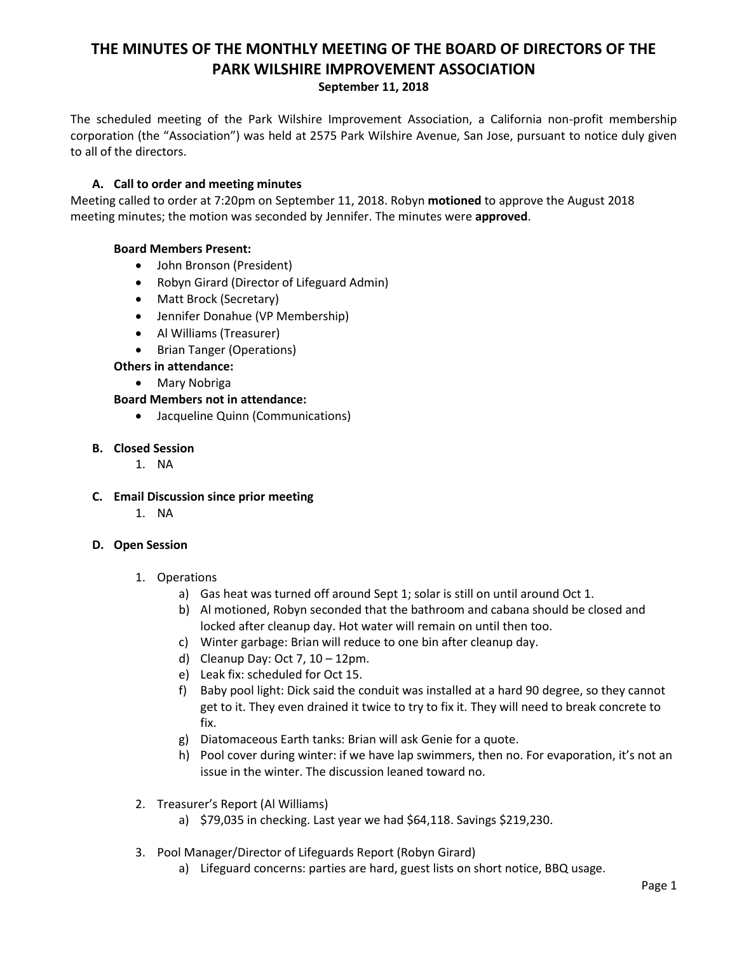# **THE MINUTES OF THE MONTHLY MEETING OF THE BOARD OF DIRECTORS OF THE PARK WILSHIRE IMPROVEMENT ASSOCIATION September 11, 2018**

The scheduled meeting of the Park Wilshire Improvement Association, a California non-profit membership corporation (the "Association") was held at 2575 Park Wilshire Avenue, San Jose, pursuant to notice duly given to all of the directors.

# **A. Call to order and meeting minutes**

Meeting called to order at 7:20pm on September 11, 2018. Robyn **motioned** to approve the August 2018 meeting minutes; the motion was seconded by Jennifer. The minutes were **approved**.

# **Board Members Present:**

- John Bronson (President)
- Robyn Girard (Director of Lifeguard Admin)
- Matt Brock (Secretary)
- Jennifer Donahue (VP Membership)
- Al Williams (Treasurer)
- Brian Tanger (Operations)

# **Others in attendance:**

Mary Nobriga

# **Board Members not in attendance:**

Jacqueline Quinn (Communications)

# **B. Closed Session**

- 1. NA
- **C. Email Discussion since prior meeting**
	- 1. NA

# **D. Open Session**

# 1. Operations

- a) Gas heat was turned off around Sept 1; solar is still on until around Oct 1.
- b) Al motioned, Robyn seconded that the bathroom and cabana should be closed and locked after cleanup day. Hot water will remain on until then too.
- c) Winter garbage: Brian will reduce to one bin after cleanup day.
- d) Cleanup Day: Oct 7,  $10 12$ pm.
- e) Leak fix: scheduled for Oct 15.
- f) Baby pool light: Dick said the conduit was installed at a hard 90 degree, so they cannot get to it. They even drained it twice to try to fix it. They will need to break concrete to fix.
- g) Diatomaceous Earth tanks: Brian will ask Genie for a quote.
- h) Pool cover during winter: if we have lap swimmers, then no. For evaporation, it's not an issue in the winter. The discussion leaned toward no.
- 2. Treasurer's Report (Al Williams)
	- a) \$79,035 in checking. Last year we had \$64,118. Savings \$219,230.
- 3. Pool Manager/Director of Lifeguards Report (Robyn Girard)
	- a) Lifeguard concerns: parties are hard, guest lists on short notice, BBQ usage.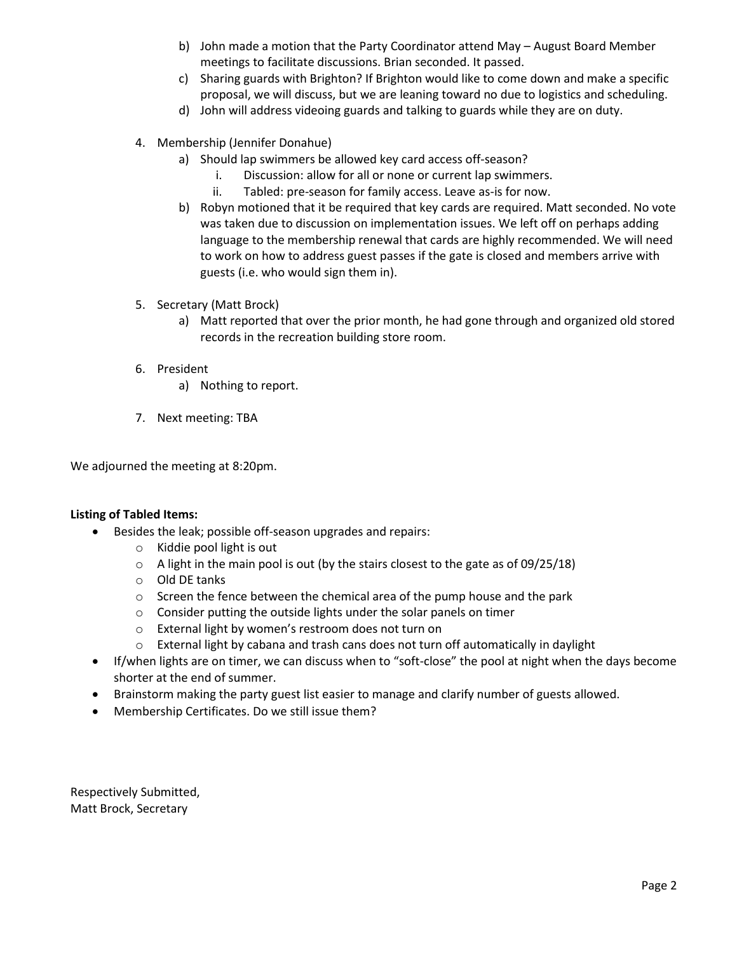- b) John made a motion that the Party Coordinator attend May August Board Member meetings to facilitate discussions. Brian seconded. It passed.
- c) Sharing guards with Brighton? If Brighton would like to come down and make a specific proposal, we will discuss, but we are leaning toward no due to logistics and scheduling.
- d) John will address videoing guards and talking to guards while they are on duty.
- 4. Membership (Jennifer Donahue)
	- a) Should lap swimmers be allowed key card access off-season?
		- i. Discussion: allow for all or none or current lap swimmers.
		- ii. Tabled: pre-season for family access. Leave as-is for now.
	- b) Robyn motioned that it be required that key cards are required. Matt seconded. No vote was taken due to discussion on implementation issues. We left off on perhaps adding language to the membership renewal that cards are highly recommended. We will need to work on how to address guest passes if the gate is closed and members arrive with guests (i.e. who would sign them in).
- 5. Secretary (Matt Brock)
	- a) Matt reported that over the prior month, he had gone through and organized old stored records in the recreation building store room.
- 6. President
	- a) Nothing to report.
- 7. Next meeting: TBA

We adjourned the meeting at 8:20pm.

#### **Listing of Tabled Items:**

- Besides the leak; possible off-season upgrades and repairs:
	- o Kiddie pool light is out
	- o A light in the main pool is out (by the stairs closest to the gate as of 09/25/18)
	- o Old DE tanks
	- o Screen the fence between the chemical area of the pump house and the park
	- o Consider putting the outside lights under the solar panels on timer
	- o External light by women's restroom does not turn on
	- $\circ$  External light by cabana and trash cans does not turn off automatically in daylight
- If/when lights are on timer, we can discuss when to "soft-close" the pool at night when the days become shorter at the end of summer.
- Brainstorm making the party guest list easier to manage and clarify number of guests allowed.
- Membership Certificates. Do we still issue them?

Respectively Submitted, Matt Brock, Secretary